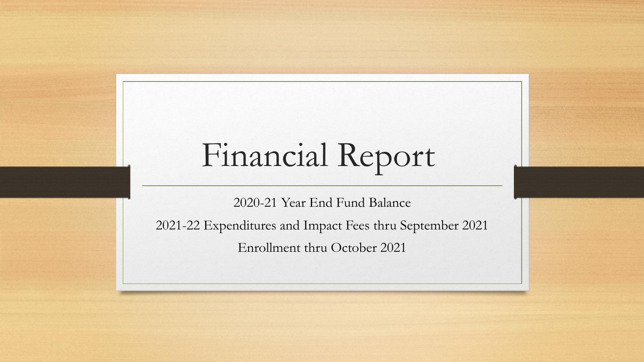## Financial Report

2020-21 Year End Fund Balance

2021-22 Expenditures and Impact Fees thru September 2021

Enrollment thru October 2021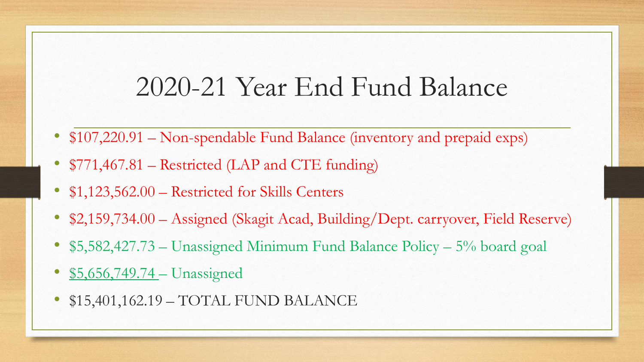## 2020-21 Year End Fund Balance

- \$107,220.91 Non-spendable Fund Balance (inventory and prepaid exps)
- \$771,467.81 Restricted (LAP and CTE funding)
- \$1,123,562.00 Restricted for Skills Centers
- \$2,159,734.00 Assigned (Skagit Acad, Building/Dept. carryover, Field Reserve)
- \$5,582,427.73 Unassigned Minimum Fund Balance Policy 5% board goal
- \$5,656,749.74 Unassigned
- \$15,401,162.19 TOTAL FUND BALANCE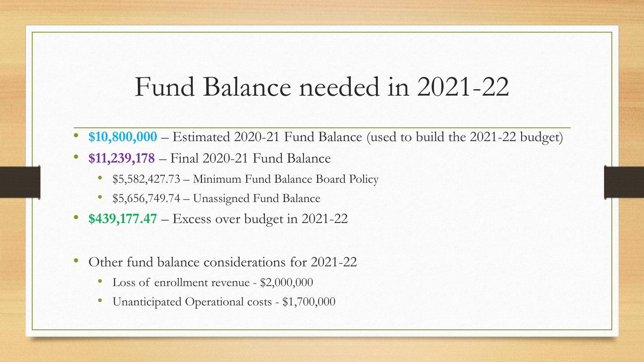## Fund Balance needed in 2021-22

- **\$10,800,000**  Estimated 2020-21 Fund Balance (used to build the 2021-22 budget)
- **\$11,239,178**  Final 2020-21 Fund Balance
	- \$5,582,427.73 Minimum Fund Balance Board Policy
	- \$5,656,749.74 Unassigned Fund Balance
- **\$439,177.47** Excess over budget in 2021-22
- Other fund balance considerations for 2021-22
	- Loss of enrollment revenue \$2,000,000
	- Unanticipated Operational costs \$1,700,000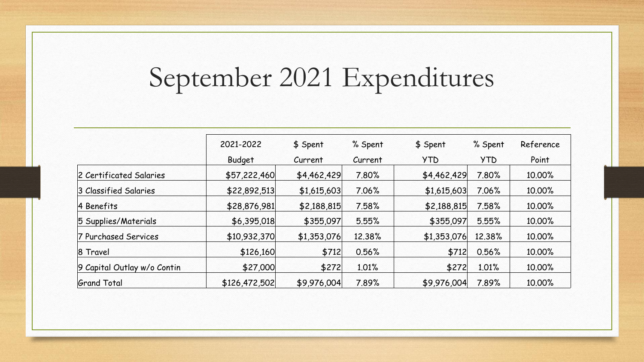## September 2021 Expenditures

|                             | 2021-2022     | \$ Spent    | % Spent | \$ Spent    | % Spent    | Reference |  |
|-----------------------------|---------------|-------------|---------|-------------|------------|-----------|--|
|                             | <b>Budget</b> | Current     | Current | <b>YTD</b>  | <b>YTD</b> | Point     |  |
| 2 Certificated Salaries     | \$57,222,460  | \$4,462,429 | 7.80%   | \$4,462,429 | 7.80%      | 10.00%    |  |
| 3 Classified Salaries       | \$22,892,513  | \$1,615,603 | 7.06%   | \$1,615,603 | 7.06%      | 10.00%    |  |
| 4 Benefits                  | \$28,876,981  | \$2,188,815 | 7.58%   | \$2,188,815 | 7.58%      | 10.00%    |  |
| 5 Supplies/Materials        | \$6,395,018   | \$355,097   | 5.55%   | \$355,097   | 5.55%      | 10.00%    |  |
| 7 Purchased Services        | \$10,932,370  | \$1,353,076 | 12.38%  | \$1,353,076 | 12.38%     | 10.00%    |  |
| 8 Travel                    | \$126,160     | \$712       | 0.56%   | \$712       | 0.56%      | 10.00%    |  |
| 9 Capital Outlay w/o Contin | \$27,000      | \$272       | 1.01%   | \$272       | 1.01%      | 10.00%    |  |
| <b>Grand Total</b>          | \$126,472,502 | \$9,976,004 | 7.89%   | \$9,976,004 | 7.89%      | 10.00%    |  |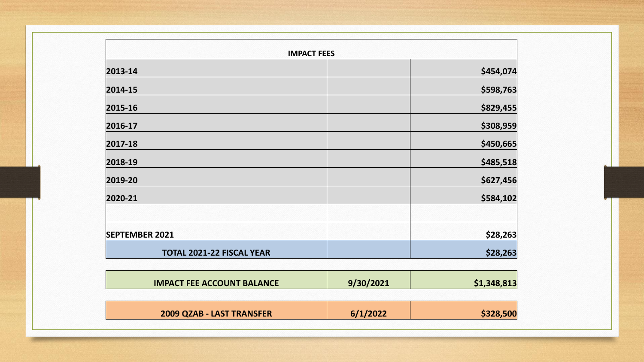| <b>IMPACT FEES</b>                |           |             |
|-----------------------------------|-----------|-------------|
| 2013-14                           |           | \$454,074   |
| 2014-15                           |           | \$598,763   |
| 2015-16                           |           | \$829,455   |
| 2016-17                           |           | \$308,959   |
| 2017-18                           |           | \$450,665   |
| 2018-19                           |           | \$485,518   |
| 2019-20                           |           | \$627,456   |
| 2020-21                           |           | \$584,102   |
| <b>SEPTEMBER 2021</b>             |           | \$28,263    |
| TOTAL 2021-22 FISCAL YEAR         |           | \$28,263    |
| <b>IMPACT FEE ACCOUNT BALANCE</b> | 9/30/2021 | \$1,348,813 |
| 2009 QZAB - LAST TRANSFER         | 6/1/2022  | \$328,500   |